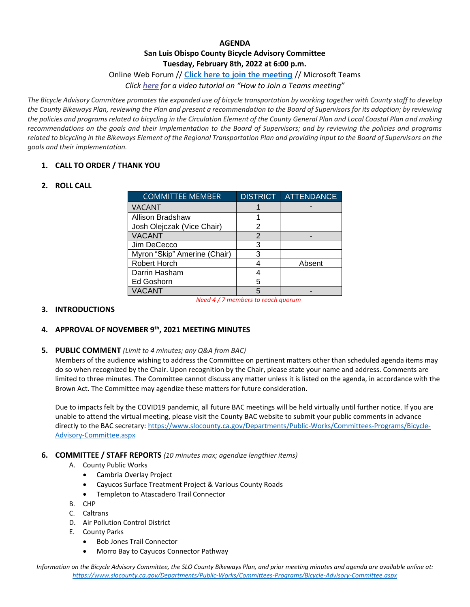## **AGENDA San Luis Obispo County Bicycle Advisory Committee Tuesday, February 8th, 2022 at 6:00 p.m.**

## Online Web Forum // **[Click here to join the meeting](https://teams.microsoft.com/l/meetup-join/19%3ameeting_YjI2MWE4YTAtMDU3NC00NjE1LWE1NzgtNTNiZjRkY2RkYzcx%40thread.v2/0?context=%7b%22Tid%22%3a%2284c3c774-7fdf-40e2-a590-27b2e70f8126%22%2c%22Oid%22%3a%22accc1d09-640f-48ff-93c9-96f845f6221a%22%7d)** // Microsoft Teams

*Click [here](https://www.microsoft.com/en-us/videoplayer/embed/RE3Oz24?pid=ocpVideo0-innerdiv-oneplayer&postJsllMsg=true&maskLevel=20&market=en-us) for a video tutorial on "How to Join a Teams meeting"*

*The Bicycle Advisory Committee promotes the expanded use of bicycle transportation by working together with County staff to develop the County Bikeways Plan, reviewing the Plan and present a recommendation to the Board of Supervisors for its adoption; by reviewing the policies and programs related to bicycling in the Circulation Element of the County General Plan and Local Coastal Plan and making recommendations on the goals and their implementation to the Board of Supervisors; and by reviewing the policies and programs related to bicycling in the Bikeways Element of the Regional Transportation Plan and providing input to the Board of Supervisors on the goals and their implementation.*

## **1. CALL TO ORDER / THANK YOU**

## **2. ROLL CALL**

| <b>COMMITTEE MEMBER</b>      | <b>DISTRICT</b> | <b>ATTENDANCE</b> |
|------------------------------|-----------------|-------------------|
| <b>VACANT</b>                |                 |                   |
| <b>Allison Bradshaw</b>      |                 |                   |
| Josh Olejczak (Vice Chair)   | 2               |                   |
| <b>VACANT</b>                | 2               |                   |
| Jim DeCecco                  | 3               |                   |
| Myron "Skip" Amerine (Chair) | 3               |                   |
| Robert Horch                 |                 | Absent            |
| Darrin Hasham                |                 |                   |
| Ed Goshorn                   | 5               |                   |
| <b>VACANT</b>                | 5               |                   |

*Need 4 / 7 members to reach quorum*

## **3. INTRODUCTIONS**

# **4. APPROVAL OF NOVEMBER 9th, 2021 MEETING MINUTES**

#### **5. PUBLIC COMMENT** *(Limit to 4 minutes; any Q&A from BAC)*

Members of the audience wishing to address the Committee on pertinent matters other than scheduled agenda items may do so when recognized by the Chair. Upon recognition by the Chair, please state your name and address. Comments are limited to three minutes. The Committee cannot discuss any matter unless it is listed on the agenda, in accordance with the Brown Act. The Committee may agendize these matters for future consideration.

Due to impacts felt by the COVID19 pandemic, all future BAC meetings will be held virtually until further notice. If you are unable to attend the virtual meeting, please visit the County BAC website to submit your public comments in advance directly to the BAC secretary: [https://www.slocounty.ca.gov/Departments/Public-Works/Committees-Programs/Bicycle-](https://www.slocounty.ca.gov/Departments/Public-Works/Committees-Programs/Bicycle-Advisory-Committee.aspx)[Advisory-Committee.aspx](https://www.slocounty.ca.gov/Departments/Public-Works/Committees-Programs/Bicycle-Advisory-Committee.aspx)

#### **6. COMMITTEE / STAFF REPORTS** *(10 minutes max; agendize lengthier items)*

- A. County Public Works
	- Cambria Overlay Project
	- Cayucos Surface Treatment Project & Various County Roads
	- Templeton to Atascadero Trail Connector
- B. CHP
- C. Caltrans
- D. Air Pollution Control District
- E. County Parks
	- Bob Jones Trail Connector
	- Morro Bay to Cayucos Connector Pathway

*Information on the Bicycle Advisory Committee, the SLO County Bikeways Plan, and prior meeting minutes and agenda are available online at: <https://www.slocounty.ca.gov/Departments/Public-Works/Committees-Programs/Bicycle-Advisory-Committee.aspx>*